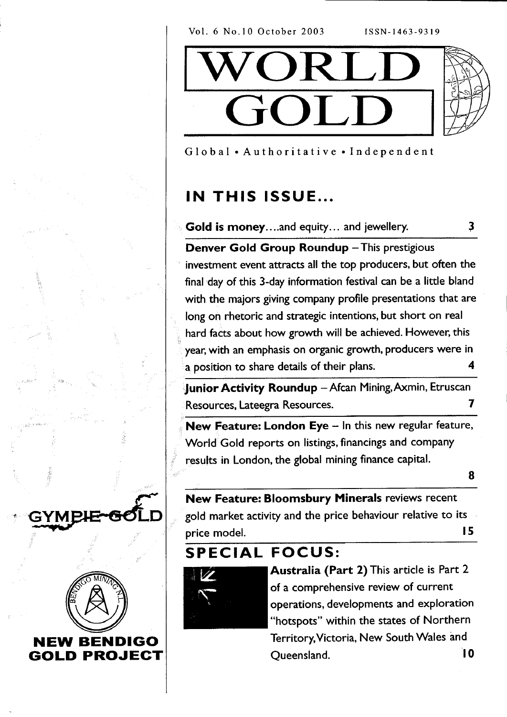Vol. 6 No.10 October 2003

ISSN-1463-9319



3

Global • Authoritative • Independent

# IN THIS ISSUE...

Gold is money....and equity... and jewellery.

Denver Gold Group Roundup - This prestigious investment event attracts all the top producers, but often the final day of this 3-day information festival can be a little bland with the majors giving company profile presentations that are long on rhetoric and strategic intentions, but short on real hard facts about how growth will be achieved. However, this year, with an emphasis on organic growth, producers were in a position to share details of their plans. 4

Junior Activity Roundup - Afcan Mining, Axmin, Etruscan 7 Resources, Lateegra Resources.

**New Feature: London Eye** - In this new regular feature, World Gold reports on listings, financings and company results in London, the global mining finance capital.

8

**New Feature: Bloomsbury Minerals reviews recent** gold market activity and the price behaviour relative to its 15 price model.

# **SPECIAL FOCUS:**



GYMB

NEW BENDIGO

**GOLD PROJECT** 

Australia (Part 2) This article is Part 2 of a comprehensive review of current operations, developments and exploration "hotspots" within the states of Northern Territory, Victoria, New South Wales and 10 Oueensland.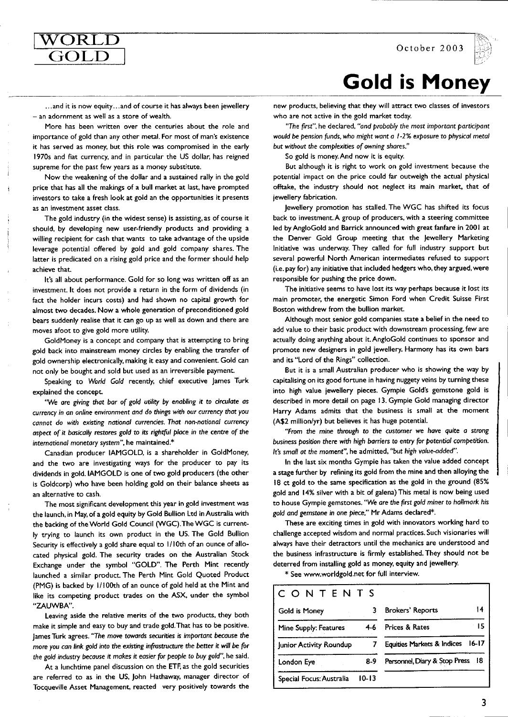October 2003



## WORLD **GOLD**

**Gold is Money** 

...and it is now equity...and of course it has always been jewellery - an adornment as well as a store of wealth.

More has been written over the centuries about the role and importance of gold than any other metal. For most of man's existence it has served as money, but this role was compromised in the early 1970s and fiat currency, and in particular the US dollar, has reigned supreme for the past few years as a money substitute.

Now the weakening of the dollar and a sustained rally in the gold price that has all the makings of a bull market at last, have prompted investors to take a fresh look at gold an the opportunities it presents as an investment asset class.

The gold industry (in the widest sense) is assisting, as of course it should, by developing new user-friendly products and providing a willing recipient for cash that wants to take advantage of the upside leverage potential offered by gold and gold company shares. The latter is predicated on a rising gold price and the former should help achieve that.

It's all about performance. Gold for so long was written off as an investment. It does not provide a return in the form of dividends (in fact the holder incurs costs) and had shown no capital growth for almost two decades. Now a whole generation of preconditioned gold bears suddenly realise that it can go up as well as down and there are moves afoot to give gold more utility.

GoldMoney is a concept and company that is attempting to bring gold back into mainstream money circles by enabling the transfer of gold ownership electronically, making it easy and convenient. Gold can not only be bought and sold but used as an irreversible payment.

Speaking to World Gold recently, chief executive James Turk explained the concept.

"We are giving that bar of gold utility by enabling it to circulate as currency in an online environment and do things with our currency that you cannot do with existing national currencies. That non-national currency aspect of it basically restores gold to its rightful place in the centre of the international monetary system", he maintained.\*

Canadian producer IAMGOLD, is a shareholder in GoldMoney, and the two are investigating ways for the producer to pay its dividends in gold. IAMGOLD is one of two gold producers (the other is Goldcorp) who have been holding gold on their balance sheets as an alternative to cash.

The most significant development this year in gold investment was the launch, in May, of a gold equity by Gold Bullion Ltd in Australia with the backing of the World Gold Council (WGC). The WGC is currently trying to launch its own product in the US. The Gold Bullion Security is effectively a gold share equal to 1/10th of an ounce of allocated physical gold. The security trades on the Australian Stock Exchange under the symbol "GOLD". The Perth Mint recently launched a similar product. The Perth Mint Gold Quoted Product (PMG) is backed by 1/100th of an ounce of gold held at the Mint and like its competing product trades on the ASX, under the symbol "ZAUWBA".

Leaving aside the relative merits of the two products, they both make it simple and easy to buy and trade gold. That has to be positive, James Turk agrees. "The move towards securities is important because the more you can link gold into the existing infrastructure the better it will be for the gold industry because it makes it easier for people to buy gold", he said.

At a lunchtime panel discussion on the ETF, as the gold securities are referred to as in the US, John Hathaway, manager director of Tocqueville Asset Management, reacted very positively towards the new products, believing that they will attract two classes of investors who are not active in the gold market today.

"The first", he declared, "and probably the most important participant would be pension funds, who might want a 1-2% exposure to physical metal but without the comblexities of owning shares."

So gold is money. And now it is equity.

But although it is right to work on gold investment because the potential impact on the price could far outweigh the actual physical offtake, the industry should not neglect its main market, that of jewellery fabrication.

lewellery promotion has stalled. The WGC has shifted its focus back to investment. A group of producers, with a steering committee led by AngloGold and Barrick announced with great fanfare in 2001 at the Denver Gold Group meeting that the Jewellery Marketing Initiative was underway. They called for full industry support but several powerful North American intermediates refused to support (i.e. pay for) any initiative that included hedgers who, they argued, were responsible for pushing the price down.

The initiative seems to have lost its way perhaps because it lost its main promoter, the energetic Simon Ford when Credit Suisse First Boston withdrew from the bullion market.

Although most senior gold companies state a belief in the need to add value to their basic product with downstream processing, few are actually doing anything about it. AngloGold continues to sponsor and promote new designers in gold jewellery. Harmony has its own bars and its "Lord of the Rings" collection.

But it is a small Australian producer who is showing the way by capitalising on its good fortune in having nuggety veins by turning these into high value jewellery pieces. Gympie Gold's gemstone gold is described in more detail on page 13. Gympie Gold managing director Harry Adams admits that the business is small at the moment (A\$2 million/yr) but believes it has huge potential.

"From the mine through to the customer we have quite a strong business position there with high barriers to entry for potential competition. It's small at the moment", he admitted, "but high value-added".

In the last six months Gympie has taken the value added concept a stage further by refining its gold from the mine and then alloying the 18 ct gold to the same specification as the gold in the ground (85% gold and 14% silver with a bit of galena) This metal is now being used to house Gympie gemstones. "We are the first gold miner to hallmark his gold and gemstone in one piece," Mr Adams declared\*.

These are exciting times in gold with innovators working hard to challenge accepted wisdom and normal practices. Such visionaries will always have their detractors until the mechanics are understood and the business infrastructure is firmly established. They should not be deterred from installing gold as money, equity and jewellery.

\* See www.worldgold.net for full interview.

| CONTENTS                 |       |                                     |
|--------------------------|-------|-------------------------------------|
| Gold is Money            |       | 14<br>Brokers' Reports              |
| Mine Supply: Features    | 4-6.  | - 15<br>Prices & Rates              |
| Junior Activity Roundup  |       | 16-17<br>Equities Markets & Indices |
| London Eye               | 8-9   | Personnel, Diary & Stop Press 18    |
| Special Focus: Australia | 10-13 |                                     |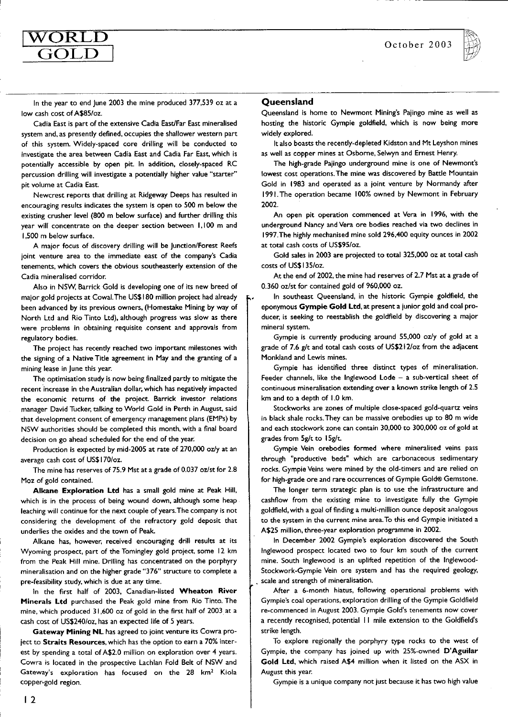In the year to end June 2003 the mine produced 377,539 oz at a low cash cost of A\$85/oz.

WORLD

GOLD

Cadia East is part of the extensive Cadia East/Far East mineralised system and, as presently defined, occupies the shallower western part of this system. Widely-spaced core drilling will be conducted to investigate the area between Cadia East and Cadia Far East, which is potentially accessible by open pit. In addition, closely-spaced RC percussion drilling will investigate a potentially higher value "starter" pit volume at Cadia East.

Newcrest reports that drilling at Ridgeway Deeps has resulted in encouraging results indicates the system is open to 500 m below the existing crusher level (800 m below surface) and further drilling this year will concentrate on the deeper section between 1,100 m and 1,500 m below surface.

A major focus of discovery drilling will be Junction/Forest Reefs joint venture area to the immediate east of the company's Cadia tenements, which covers the obvious southeasterly extension of the Cadia mineralised corridor.

Also in NSW, Barrick Gold is developing one of its new breed of major gold projects at Cowal. The US\$180 million project had already been advanced by its previous owners, (Homestake Mining by way of North Ltd and Rio Tinto Ltd), although progress was slow as there were problems in obtaining requisite consent and approvals from regulatory bodies.

The project has recently reached two important milestones with the signing of a Native Title agreement in May and the granting of a mining lease in June this year.

The optimisation study is now being finalized partly to mitigate the recent increase in the Australian dollar, which has negatively impacted the economic returns of the project. Barrick investor relations manager David Tucker, talking to World Gold in Perth in August, said that development consent of emergency management plans (EMPs) by NSW authorities should be completed this month, with a final board decision on go ahead scheduled for the end of the year.

Production is expected by mid-2005 at rate of 270,000 oz/y at an average cash cost of US\$170/oz.

The mine has reserves of 75.9 Mst at a grade of 0.037 oz/st for 2.8 Moz of gold contained.

Alkane Exploration Ltd has a small gold mine at Peak Hill, which is in the process of being wound down, although some heap leaching will continue for the next couple of years. The company is not considering the development of the refractory gold deposit that underlies the oxides and the town of Peak.

Alkane has, however, received encouraging drill results at its Wyoming prospect, part of the Tomingley gold project, some 12 km from the Peak Hill mine. Drilling has concentrated on the porphyry mineralisation and on the higher grade "376" structure to complete a pre-feasibility study, which is due at any time.

In the first half of 2003, Canadian-listed Wheaton River Minerals Ltd purchased the Peak gold mine from Rio Tinto. The mine, which produced 31,600 oz of gold in the first half of 2003 at a cash cost of US\$240/oz, has an expected life of 5 years.

Gateway Mining NL has agreed to joint venture its Cowra project to Straits Resources, which has the option to earn a 70% interest by spending a total of A\$2.0 million on exploration over 4 years. Cowra is located in the prospective Lachlan Fold Belt of NSW and Gateway's exploration has focused on the 28 km<sup>2</sup> Kiola copper-gold region.

#### Queensland

Queensland is home to Newmont Mining's Pajingo mine as well as hosting the historic Gympie goldfield, which is now being more widely explored.

It also boasts the recently-depleted Kidston and Mt Leyshon mines as well as copper mines at Osborne, Selwyn and Ernest Henry.

The high-grade Pajingo underground mine is one of Newmont's lowest cost operations. The mine was discovered by Battle Mountain Gold in 1983 and operated as a joint venture by Normandy after 1991. The operation became 100% owned by Newmont in February 2002.

An open pit operation commenced at Vera in 1996, with the underground Nancy and Vera ore bodies reached via two declines in 1997. The highly mechanised mine sold 296,400 equity ounces in 2002 at total cash costs of US\$95/oz.

Gold sales in 2003 are projected to total 325,000 oz at total cash costs of US\$135/oz.

At the end of 2002, the mine had reserves of 2.7 Mst at a grade of 0.360 oz/st for contained gold of 960,000 oz.

In southeast Queensland, in the historic Gympie goldfield, the eponymous Gympie Gold Ltd, at present a junior gold and coal producer, is seeking to reestablish the goldfield by discovering a major mineral system.

Gympie is currently producing around 55,000 oz/y of gold at a grade of 7.6 g/t and total cash costs of US\$212/oz from the adjacent Monkland and Lewis mines.

Gympie has identified three distinct types of mineralisation. Feeder channels, like the Inglewood Lode  $-$  a sub-vertical sheet of continuous mineralisation extending over a known strike length of 2.5 km and to a depth of 1.0 km.

Stockworks are zones of multiple close-spaced gold-quartz veins in black shale rocks. They can be massive orebodies up to 80 m wide and each stockwork zone can contain 30,000 to 300,000 oz of gold at grades from 5g/t to 15g/t.

Gympie Vein orebodies formed where mineralised veins pass through "productive beds" which are carbonaceous sedimentary rocks. Gympie Veins were mined by the old-timers and are relied on for high-grade ore and rare occurrences of Gympie Gold® Gemstone.

The longer term strategic plan is to use the infrastructure and cashflow from the existing mine to investigate fully the Gympie goldfield, with a goal of finding a multi-million ounce deposit analogous to the system in the current mine area. To this end Gympie initiated a A\$25 million, three-year exploration programme in 2002.

In December 2002 Gympie's exploration discovered the South Inglewood prospect located two to four km south of the current mine. South Inglewood is an uplifted repetition of the Inglewood-Stockwork-Gympie Vein ore system and has the required geology, scale and strength of mineralisation.

After a 6-month hiatus, following operational problems with Gympie's coal operations, exploration drilling of the Gympie Goldfield re-commenced in August 2003. Gympie Gold's tenements now cover a recently recognised, potential 11 mile extension to the Goldfield's strike length.

To explore regionally the porphyry type rocks to the west of Gympie, the company has joined up with 25%-owned D'Aguilar Gold Ltd, which raised A\$4 million when it listed on the ASX in August this year.

Gympie is a unique company not just because it has two high value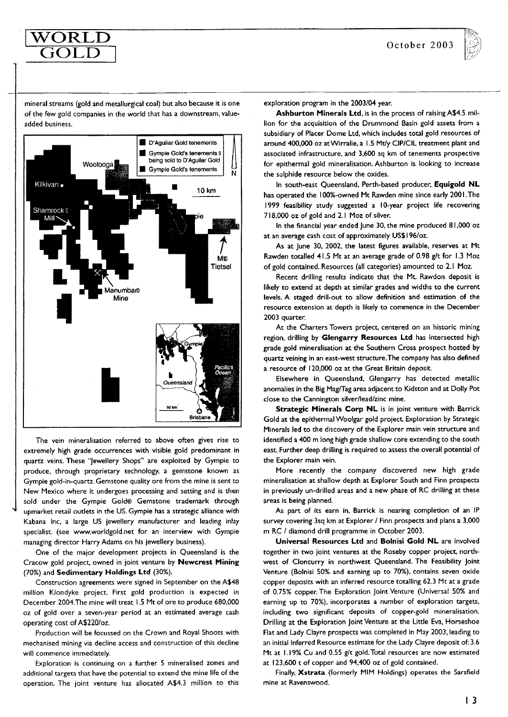## WORLD GOLD

mineral streams (gold and metallurgical coal) but also because it is one of the few gold companies in the world that has a downstream, valueadded business.



The vein mineralisation referred to above often gives rise to extremely high grade occurrences with visible gold predominant in quartz veins. These "lewellery Shops" are exploited by Gympie to produce, through proprietary technology, a gemstone known as Gympie gold-in-quartz. Gemstone quality ore from the mine is sent to New Mexico where it undergoes processing and setting and is then sold under the Gympie Gold® Gemstone trademark through upmarket retail outlets in the US. Gympie has a strategic alliance with Kabana Inc, a large US jewellery manufacturer and leading inlay specialist. (see www.worldgold.net for an interview with Gympie managing director Harry Adams on his jewellery business).

One of the major development projects in Queensland is the Cracow gold project, owned in joint venture by Newcrest Mining (70%) and Sedimentary Holdings Ltd (30%).

Construction agreements were signed in September on the A\$48 million Klondyke project. First gold production is expected in December 2004. The mine will treat 1.5 Mt of ore to produce 680,000 oz of gold over a seven-year period at an estimated average cash operating cost of A\$220/oz.

Production will be focussed on the Crown and Royal Shoots with mechanised mining via decline access and construction of this decline will commence immediately.

Exploration is continuing on a further 5 mineralised zones and additional targets that have the potential to extend the mine life of the operation. The joint venture has allocated A\$4.3 million to this

#### exploration program in the 2003/04 year.

Ashburton Minerals Ltd, is in the process of raising A\$4.5 million for the acquisition of the Drummond Basin gold assets from a subsidiary of Placer Dome Ltd, which includes total gold resources of around 400,000 oz at Wirralie, a 1.5 Mt/y CIP/CIL treatment plant and associated infrastructure, and 3,600 sq km of tenements prospective for epithermal gold mineralisation. Ashburton is looking to increase the sulphide resource below the oxides.

In south-east Queensland, Perth-based producer, Equigold NL has operated the 100%-owned Mt Rawden mine since early 2001. The 1999 feasibility study suggested a 10-year project life recovering 718,000 oz of gold and 2.1 Moz of silver.

In the financial year ended June 30, the mine produced 81,000 oz at an average cash cost of approximately US\$196/oz.

As at lune 30, 2002, the latest figures available, reserves at Mt Rawden totalled 41.5 Mt at an average grade of 0.98 g/t for 1.3 Moz of gold contained. Resources (all categories) amounted to 2.1 Moz.

Recent drilling results indicate that the Mt. Rawdon deposit is likely to extend at depth at similar grades and widths to the current levels. A staged drill-out to allow definition and estimation of the resource extension at depth is likely to commence in the December 2003 quarter.

At the Charters Towers project, centered on an historic mining region, drilling by Glengarry Resources Ltd has intersected high grade gold mineralisation at the Southern Cross prospect hosted by quartz veining in an east-west structure. The company has also defined a resource of 120,000 oz at the Great Britain deposit.

Elsewhere in Queensland, Glengarry has detected metallic anomalies in the Big Mag/Tag area adjacent to Kidston and at Dolly Pot close to the Cannington silver/lead/zinc mine.

Strategic Minerals Corp NL is in joint venture with Barrick Gold at the epithermal Woolgar gold project. Exploration by Strategic Minerals led to the discovery of the Explorer main vein structure and identified a 400 m long high grade shallow core extending to the south east. Further deep drilling is required to assess the overall potential of the Explorer main vein.

More recently the company discovered new high grade mineralisation at shallow depth at Explorer South and Finn prospects in previously un-drilled areas and a new phase of RC drilling at these areas is being planned.

As part of its earn in, Barrick is nearing completion of an IP survey covering 3sq km at Explorer / Finn prospects and plans a 3,000 m RC / diamond drill programme in October 2003.

Universal Resources Ltd and Bolnisi Gold NL are involved together in two joint ventures at the Roseby copper project, northwest of Cloncurry in northwest Queensland. The Feasibility Joint Venture (Bolnisi 50% and earning up to 70%), contains seven oxide copper deposits with an inferred resource totalling 62.3 Mt at a grade of 0.75% copper. The Exploration Joint Venture (Universal 50% and earning up to 70%), incorporates a number of exploration targets, including two significant deposits of copper-gold mineralisation. Drilling at the Exploration Joint Venture at the Little Eva, Horseshoe Flat and Lady Clayre prospects was completed in May 2003, leading to an initial Inferred Resource estimate for the Lady Clayre deposit of: 3.6 Mt at 1.19% Cu and 0.55 g/t gold. Total resources are now estimated at 123,600 t of copper and 94,400 oz of gold contained.

Finally, Xstrata (formerly MIM Holdings) operates the Sarsfield mine at Ravenswood.

 $13$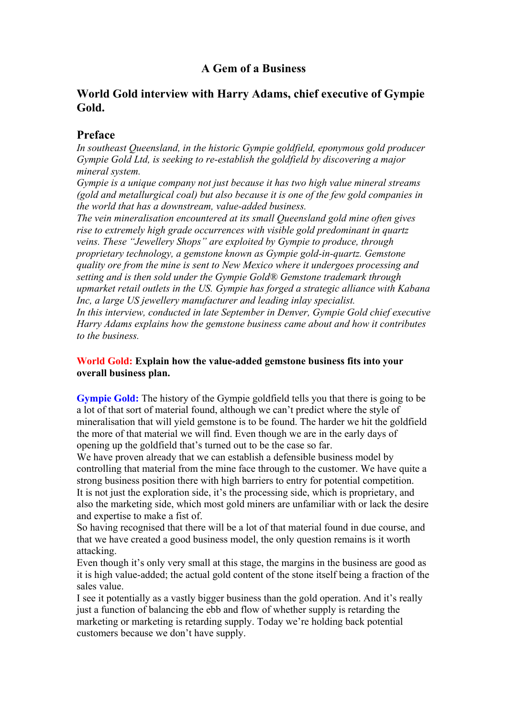## **A Gem of a Business**

## **World Gold interview with Harry Adams, chief executive of Gympie Gold.**

### **Preface**

*In southeast Queensland, in the historic Gympie goldfield, eponymous gold producer Gympie Gold Ltd, is seeking to re-establish the goldfield by discovering a major mineral system.* 

*Gympie is a unique company not just because it has two high value mineral streams (gold and metallurgical coal) but also because it is one of the few gold companies in the world that has a downstream, value-added business.* 

*The vein mineralisation encountered at its small Queensland gold mine often gives rise to extremely high grade occurrences with visible gold predominant in quartz veins. These "Jewellery Shops" are exploited by Gympie to produce, through proprietary technology, a gemstone known as Gympie gold-in-quartz. Gemstone quality ore from the mine is sent to New Mexico where it undergoes processing and setting and is then sold under the Gympie Gold® Gemstone trademark through upmarket retail outlets in the US. Gympie has forged a strategic alliance with Kabana Inc, a large US jewellery manufacturer and leading inlay specialist. In this interview, conducted in late September in Denver, Gympie Gold chief executive Harry Adams explains how the gemstone business came about and how it contributes to the business.* 

#### **World Gold: Explain how the value-added gemstone business fits into your overall business plan.**

**Gympie Gold:** The history of the Gympie goldfield tells you that there is going to be a lot of that sort of material found, although we can't predict where the style of mineralisation that will yield gemstone is to be found. The harder we hit the goldfield the more of that material we will find. Even though we are in the early days of opening up the goldfield that's turned out to be the case so far.

We have proven already that we can establish a defensible business model by controlling that material from the mine face through to the customer. We have quite a strong business position there with high barriers to entry for potential competition. It is not just the exploration side, it's the processing side, which is proprietary, and also the marketing side, which most gold miners are unfamiliar with or lack the desire and expertise to make a fist of.

So having recognised that there will be a lot of that material found in due course, and that we have created a good business model, the only question remains is it worth attacking.

Even though it's only very small at this stage, the margins in the business are good as it is high value-added; the actual gold content of the stone itself being a fraction of the sales value.

I see it potentially as a vastly bigger business than the gold operation. And it's really just a function of balancing the ebb and flow of whether supply is retarding the marketing or marketing is retarding supply. Today we're holding back potential customers because we don't have supply.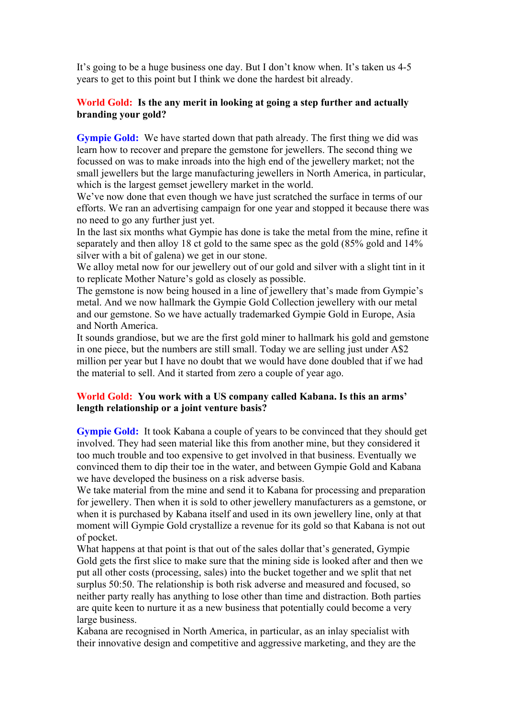It's going to be a huge business one day. But I don't know when. It's taken us 4-5 years to get to this point but I think we done the hardest bit already.

#### **World Gold: Is the any merit in looking at going a step further and actually branding your gold?**

**Gympie Gold:** We have started down that path already. The first thing we did was learn how to recover and prepare the gemstone for jewellers. The second thing we focussed on was to make inroads into the high end of the jewellery market; not the small jewellers but the large manufacturing jewellers in North America, in particular, which is the largest gemset jewellery market in the world.

We've now done that even though we have just scratched the surface in terms of our efforts. We ran an advertising campaign for one year and stopped it because there was no need to go any further just yet.

In the last six months what Gympie has done is take the metal from the mine, refine it separately and then alloy 18 ct gold to the same spec as the gold (85% gold and 14% silver with a bit of galena) we get in our stone.

We alloy metal now for our jewellery out of our gold and silver with a slight tint in it to replicate Mother Nature's gold as closely as possible.

The gemstone is now being housed in a line of jewellery that's made from Gympie's metal. And we now hallmark the Gympie Gold Collection jewellery with our metal and our gemstone. So we have actually trademarked Gympie Gold in Europe, Asia and North America.

It sounds grandiose, but we are the first gold miner to hallmark his gold and gemstone in one piece, but the numbers are still small. Today we are selling just under A\$2 million per year but I have no doubt that we would have done doubled that if we had the material to sell. And it started from zero a couple of year ago.

#### **World Gold: You work with a US company called Kabana. Is this an arms' length relationship or a joint venture basis?**

**Gympie Gold:** It took Kabana a couple of years to be convinced that they should get involved. They had seen material like this from another mine, but they considered it too much trouble and too expensive to get involved in that business. Eventually we convinced them to dip their toe in the water, and between Gympie Gold and Kabana we have developed the business on a risk adverse basis.

We take material from the mine and send it to Kabana for processing and preparation for jewellery. Then when it is sold to other jewellery manufacturers as a gemstone, or when it is purchased by Kabana itself and used in its own jewellery line, only at that moment will Gympie Gold crystallize a revenue for its gold so that Kabana is not out of pocket.

What happens at that point is that out of the sales dollar that's generated, Gympie Gold gets the first slice to make sure that the mining side is looked after and then we put all other costs (processing, sales) into the bucket together and we split that net surplus 50:50. The relationship is both risk adverse and measured and focused, so neither party really has anything to lose other than time and distraction. Both parties are quite keen to nurture it as a new business that potentially could become a very large business.

Kabana are recognised in North America, in particular, as an inlay specialist with their innovative design and competitive and aggressive marketing, and they are the